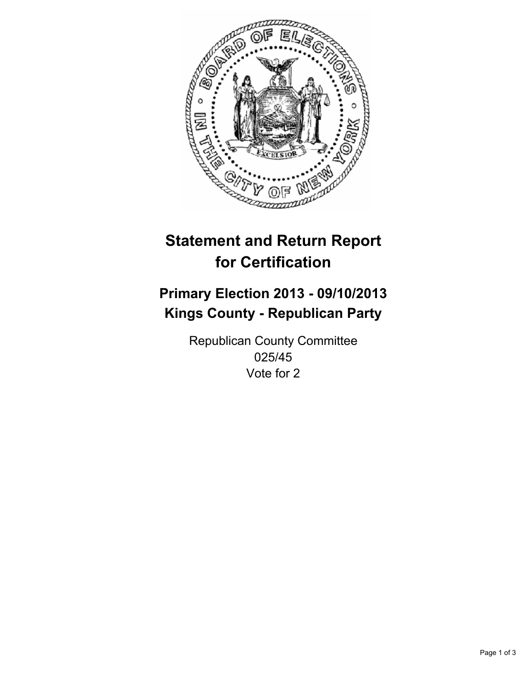

# **Statement and Return Report for Certification**

# **Primary Election 2013 - 09/10/2013 Kings County - Republican Party**

Republican County Committee 025/45 Vote for 2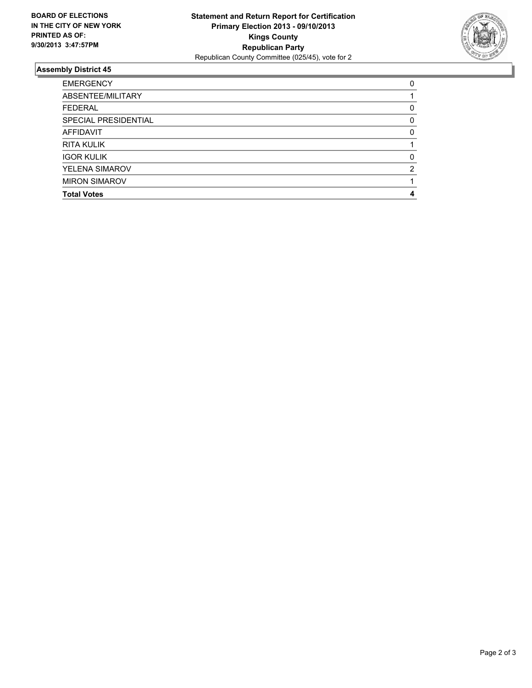

## **Assembly District 45**

| <b>EMERGENCY</b>      | 0        |
|-----------------------|----------|
| ABSENTEE/MILITARY     |          |
| <b>FEDERAL</b>        | 0        |
| SPECIAL PRESIDENTIAL  | 0        |
| <b>AFFIDAVIT</b>      | 0        |
| <b>RITA KULIK</b>     |          |
| <b>IGOR KULIK</b>     | $\Omega$ |
| <b>YELENA SIMAROV</b> | 2        |
| <b>MIRON SIMAROV</b>  |          |
| <b>Total Votes</b>    | 4        |
|                       |          |